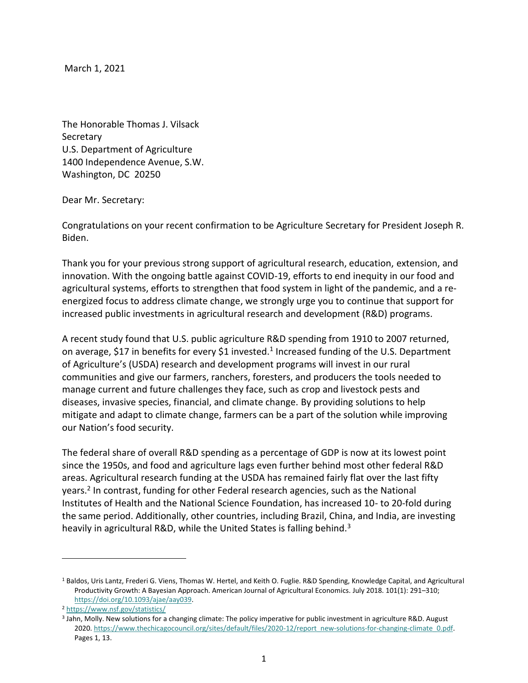March 1, 2021

The Honorable Thomas J. Vilsack Secretary U.S. Department of Agriculture 1400 Independence Avenue, S.W. Washington, DC 20250

## Dear Mr. Secretary:

Congratulations on your recent confirmation to be Agriculture Secretary for President Joseph R. Biden.

Thank you for your previous strong support of agricultural research, education, extension, and innovation. With the ongoing battle against COVID-19, efforts to end inequity in our food and agricultural systems, efforts to strengthen that food system in light of the pandemic, and a reenergized focus to address climate change, we strongly urge you to continue that support for increased public investments in agricultural research and development (R&D) programs.

A recent study found that U.S. public agriculture R&D spending from 1910 to 2007 returned, on average, \$17 in benefits for every \$1 invested.<sup>1</sup> Increased funding of the U.S. Department of Agriculture's (USDA) research and development programs will invest in our rural communities and give our farmers, ranchers, foresters, and producers the tools needed to manage current and future challenges they face, such as crop and livestock pests and diseases, invasive species, financial, and climate change. By providing solutions to help mitigate and adapt to climate change, farmers can be a part of the solution while improving our Nation's food security.

The federal share of overall R&D spending as a percentage of GDP is now at its lowest point since the 1950s, and food and agriculture lags even further behind most other federal R&D areas. Agricultural research funding at the USDA has remained fairly flat over the last fifty years.<sup>2</sup> In contrast, funding for other Federal research agencies, such as the National Institutes of Health and the National Science Foundation, has increased 10- to 20-fold during the same period. Additionally, other countries, including Brazil, China, and India, are investing heavily in agricultural R&D, while the United States is falling behind.<sup>3</sup>

<sup>&</sup>lt;sup>1</sup> Baldos, Uris Lantz, Frederi G. Viens, Thomas W. Hertel, and Keith O. Fuglie. R&D Spending, Knowledge Capital, and Agricultural Productivity Growth: A Bayesian Approach. American Journal of Agricultural Economics. July 2018. 101(1): 291–310; [https://doi.org/10.1093/ajae/aay039.](https://doi.org/10.1093/ajae/aay039)

<sup>2</sup> <https://www.nsf.gov/statistics/>

<sup>3</sup> Jahn, Molly. New solutions for a changing climate: The policy imperative for public investment in agriculture R&D. August 2020. [https://www.thechicagocouncil.org/sites/default/files/2020-12/report\\_new-solutions-for-changing-climate\\_0.pdf.](https://www.thechicagocouncil.org/sites/default/files/2020-12/report_new-solutions-for-changing-climate_0.pdf)  Pages 1, 13.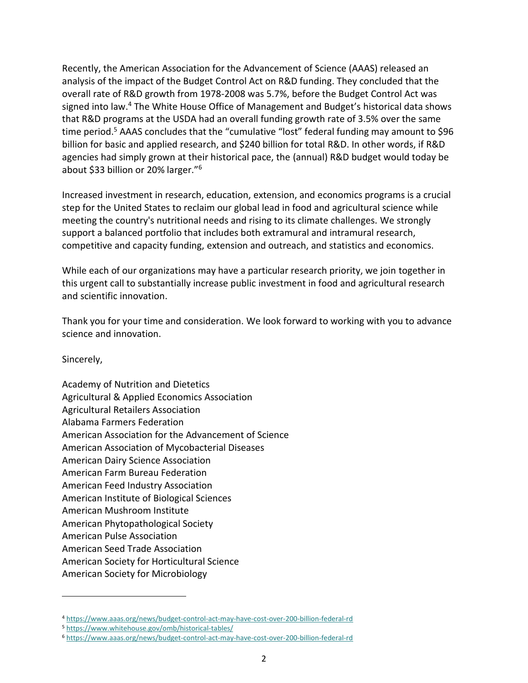Recently, the American Association for the Advancement of Science (AAAS) released an analysis of the impact of the Budget Control Act on R&D funding. They concluded that the overall rate of R&D growth from 1978-2008 was 5.7%, before the Budget Control Act was signed into law.<sup>4</sup> The White House Office of Management and Budget's historical data shows that R&D programs at the USDA had an overall funding growth rate of 3.5% over the same time period.<sup>5</sup> AAAS concludes that the "cumulative "lost" federal funding may amount to \$96 billion for basic and applied research, and \$240 billion for total R&D. In other words, if R&D agencies had simply grown at their historical pace, the (annual) R&D budget would today be about \$33 billion or 20% larger."<sup>6</sup>

Increased investment in research, education, extension, and economics programs is a crucial step for the United States to reclaim our global lead in food and agricultural science while meeting the country's nutritional needs and rising to its climate challenges. We strongly support a balanced portfolio that includes both extramural and intramural research, competitive and capacity funding, extension and outreach, and statistics and economics.

While each of our organizations may have a particular research priority, we join together in this urgent call to substantially increase public investment in food and agricultural research and scientific innovation.

Thank you for your time and consideration. We look forward to working with you to advance science and innovation.

Sincerely,

Academy of Nutrition and Dietetics Agricultural & Applied Economics Association Agricultural Retailers Association Alabama Farmers Federation American Association for the Advancement of Science American Association of Mycobacterial Diseases American Dairy Science Association American Farm Bureau Federation American Feed Industry Association American Institute of Biological Sciences American Mushroom Institute American Phytopathological Society American Pulse Association American Seed Trade Association American Society for Horticultural Science American Society for Microbiology

<sup>4</sup> <https://www.aaas.org/news/budget-control-act-may-have-cost-over-200-billion-federal-rd>

<sup>5</sup> <https://www.whitehouse.gov/omb/historical-tables/>

<sup>6</sup> <https://www.aaas.org/news/budget-control-act-may-have-cost-over-200-billion-federal-rd>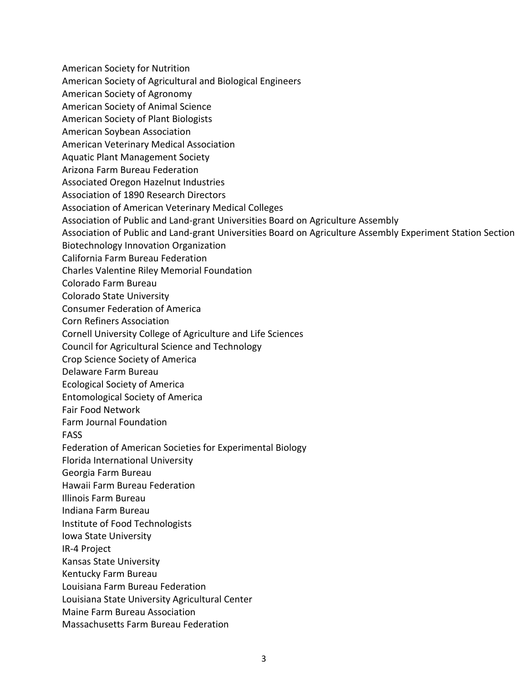American Society for Nutrition American Society of Agricultural and Biological Engineers American Society of Agronomy American Society of Animal Science American Society of Plant Biologists American Soybean Association American Veterinary Medical Association Aquatic Plant Management Society Arizona Farm Bureau Federation Associated Oregon Hazelnut Industries Association of 1890 Research Directors Association of American Veterinary Medical Colleges Association of Public and Land-grant Universities Board on Agriculture Assembly Association of Public and Land-grant Universities Board on Agriculture Assembly Experiment Station Section Biotechnology Innovation Organization California Farm Bureau Federation Charles Valentine Riley Memorial Foundation Colorado Farm Bureau Colorado State University Consumer Federation of America Corn Refiners Association Cornell University College of Agriculture and Life Sciences Council for Agricultural Science and Technology Crop Science Society of America Delaware Farm Bureau Ecological Society of America Entomological Society of America Fair Food Network Farm Journal Foundation FASS Federation of American Societies for Experimental Biology Florida International University Georgia Farm Bureau Hawaii Farm Bureau Federation Illinois Farm Bureau Indiana Farm Bureau Institute of Food Technologists Iowa State University IR-4 Project Kansas State University Kentucky Farm Bureau Louisiana Farm Bureau Federation Louisiana State University Agricultural Center Maine Farm Bureau Association Massachusetts Farm Bureau Federation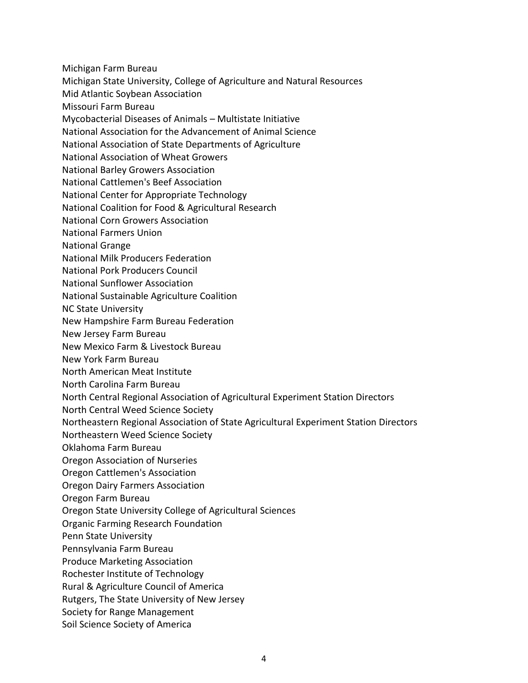- Michigan Farm Bureau
- Michigan State University, College of Agriculture and Natural Resources
- Mid Atlantic Soybean Association
- Missouri Farm Bureau
- Mycobacterial Diseases of Animals Multistate Initiative
- National Association for the Advancement of Animal Science
- National Association of State Departments of Agriculture
- National Association of Wheat Growers
- National Barley Growers Association
- National Cattlemen's Beef Association
- National Center for Appropriate Technology
- National Coalition for Food & Agricultural Research
- National Corn Growers Association
- National Farmers Union
- National Grange
- National Milk Producers Federation
- National Pork Producers Council
- National Sunflower Association
- National Sustainable Agriculture Coalition
- NC State University
- New Hampshire Farm Bureau Federation
- New Jersey Farm Bureau
- New Mexico Farm & Livestock Bureau
- New York Farm Bureau
- North American Meat Institute
- North Carolina Farm Bureau
- North Central Regional Association of Agricultural Experiment Station Directors
- North Central Weed Science Society
- Northeastern Regional Association of State Agricultural Experiment Station Directors
- Northeastern Weed Science Society
- Oklahoma Farm Bureau
- Oregon Association of Nurseries
- Oregon Cattlemen's Association
- Oregon Dairy Farmers Association
- Oregon Farm Bureau
- Oregon State University College of Agricultural Sciences
- Organic Farming Research Foundation
- Penn State University
- Pennsylvania Farm Bureau
- Produce Marketing Association
- Rochester Institute of Technology
- Rural & Agriculture Council of America
- Rutgers, The State University of New Jersey
- Society for Range Management
- Soil Science Society of America